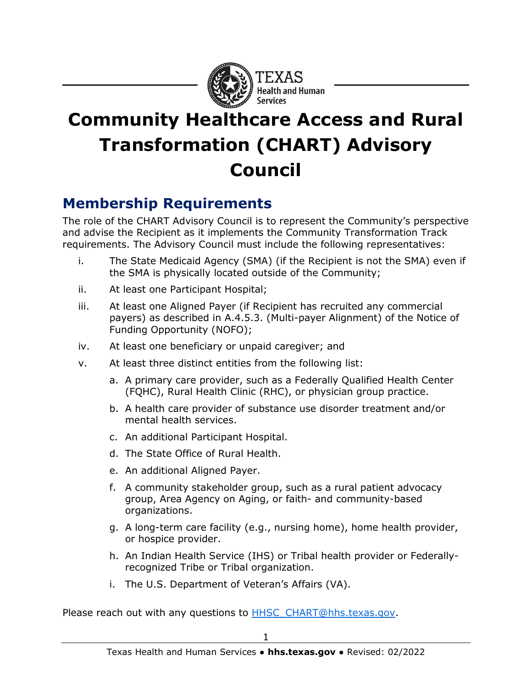

## **Community Healthcare Access and Rural Transformation (CHART) Advisory Council**

## **Membership Requirements**

The role of the CHART Advisory Council is to represent the Community's perspective and advise the Recipient as it implements the Community Transformation Track requirements. The Advisory Council must include the following representatives:

- i. The State Medicaid Agency (SMA) (if the Recipient is not the SMA) even if the SMA is physically located outside of the Community;
- ii. At least one Participant Hospital;
- iii. At least one Aligned Payer (if Recipient has recruited any commercial payers) as described in A.4.5.3. (Multi-payer Alignment) of the Notice of Funding Opportunity (NOFO);
- iv. At least one beneficiary or unpaid caregiver; and
- v. At least three distinct entities from the following list:
	- a. A primary care provider, such as a Federally Qualified Health Center (FQHC), Rural Health Clinic (RHC), or physician group practice.
	- b. A health care provider of substance use disorder treatment and/or mental health services.
	- c. An additional Participant Hospital.
	- d. The State Office of Rural Health.
	- e. An additional Aligned Payer.
	- f. A community stakeholder group, such as a rural patient advocacy group, Area Agency on Aging, or faith- and community-based organizations.
	- g. A long-term care facility (e.g., nursing home), home health provider, or hospice provider.
	- h. An Indian Health Service (IHS) or Tribal health provider or Federallyrecognized Tribe or Tribal organization.
	- i. The U.S. Department of Veteran's Affairs (VA).

Please reach out with any questions to [HHSC\\_CHART@hhs.texas.gov.](mailto:HHSC_CHART@hhs.texas.gov)